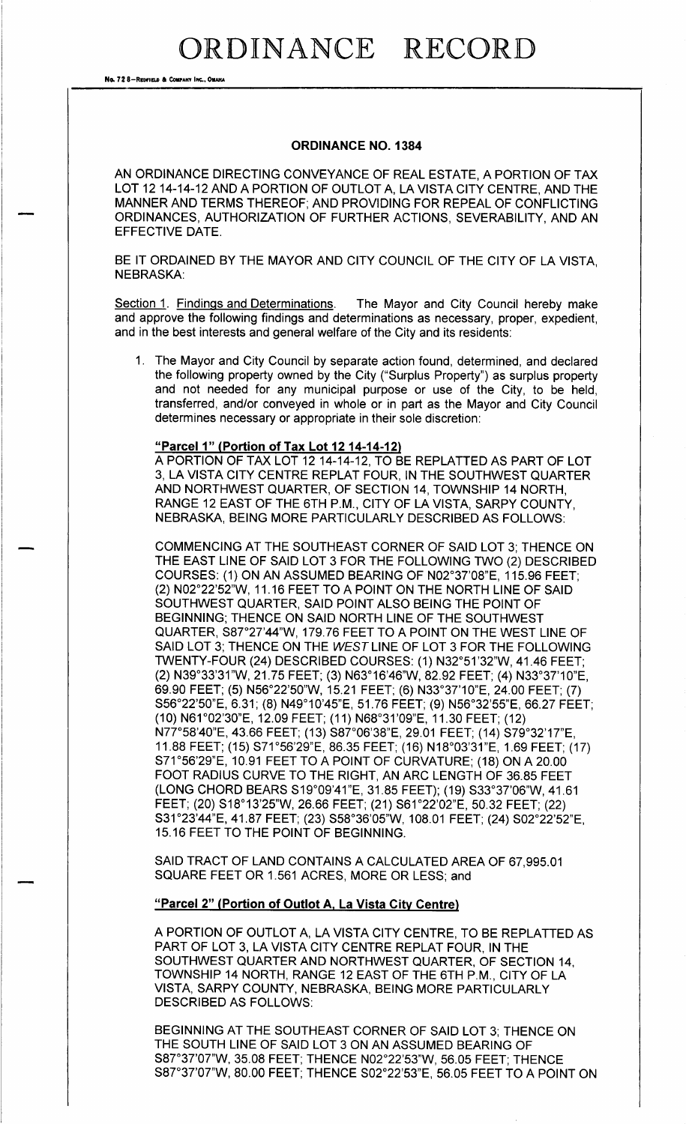## ORDINANCE RECORD

No. 72 8-REDFIELD & COMPANY INC., OMAHA

#### ORDINANCE NO. 1384

AN ORDINANCE DIRECTING CONVEYANCE OF REAL ESTATE, A PORTION OF TAX LOT 12 14-14-12 AND A PORTION OF OUTLOT A, LA VISTA CITY CENTRE, AND THE MANNER AND TERMS THEREOF; AND PROVIDING FOR REPEAL OF CONFLICTING ORDINANCES, AUTHORIZATION OF FURTHER ACTIONS, SEVERABILITY, AND AN EFFECTIVE DATE.

BE IT ORDAINED BY THE MAYOR AND CITY COUNCIL OF THE CITY OF LA VISTA. NEBRASKA:

Section 1. Findings and Determinations. The Mayor and City Council hereby make and approve the following findings and determinations as necessary, proper, expedient, and in the best interests and general welfare of the City and its residents:

1. The Mayor and City Council by separate action found, determined, and declared the following property owned by the City (" Surplus Property") as surplus property and not needed for any municipal purpose or use of the City, to be held, transferred, and/or conveyed in whole or in part as the Mayor and City Council determines necessary or appropriate in their sole discretion:

### "Parcel 1" (Portion of Tax Lot 12 14-14-12)

A PORTION OF TAX LOT 12 14- 14- 12, TO BE REPLATTED AS PART OF LOT 3, LA VISTA CITY CENTRE REPLAT FOUR, IN THE SOUTHWEST QUARTER AND NORTHWEST QUARTER, OF SECTION 14, TOWNSHIP 14 NORTH, RANGE 12 EAST OF THE 6TH P.M., CITY OF LA VISTA, SARPY COUNTY, NEBRASKA, BEING MORE PARTICULARLY DESCRIBED AS FOLLOWS:

COMMENCING AT THE SOUTHEAST CORNER OF SAID LOT 3; THENCE ON THE EAST LINE OF SAID LOT 3 FOR THE FOLLOWING TWO (2) DESCRIBED COURSES: (1) ON AN ASSUMED BEARING OF N02°37'08"E, 115.96 FEET; (2) N02°22'52"W, 11.16 FEET TO A POINT ON THE NORTH LINE OF SAID SOUTHWEST QUARTER, SAID POINT ALSO BEING THE POINT OF BEGINNING; THENCE ON SAID NORTH LINE OF THE SOUTHWEST QUARTER, S87°27'44"W, 179.76 FEET TO A POINT ON THE WEST LINE OF SAID LOT 3; THENCE ON THE WEST LINE OF LOT 3 FOR THE FOLLOWING TWENTY-FOUR (24) DESCRIBED COURSES: (1) N32°51'32"W, 41.46 FEET; 2) N39° 33' 31" W, 21. 75 FEET; ( 3) N63° 16' 46"W, 82. 92 FEET; ( 4) N33° 37' 10" E, 69. 90 FEET; ( 5) N56° 22' 50" W, 15. 21 FEET; ( 6) N33° 37' 10" E, 24. 00 FEET; ( 7) S56°22'50"E, 6.31; (8) N49°10'45"E, 51.76 FEET; (9) N56°32'55"E, 66.27 FEET 10) N61° 02' 30" E, 12. 09 FEET; ( 11) N68° 31' 09"E, 11. 30 FEET; ( 12) N77° 58' 40" E, 43. 66 FEET; ( 13) S87° 06' 38" E, 29. 01 FEET; ( 14) S79° 32' 17" E, 11. 88 FEET; ( 15) S71° 56' 29" E, 86. 35 FEET; ( 16) N18° 03' 31" E, 1. 69 FEET; ( 17) S71° 56' 29" E, 10. 91 FEET TO A POINT OF CURVATURE; ( 18) ON A 20. 00 FOOT RADIUS CURVE TO THE RIGHT, AN ARC LENGTH OF 36. 85 FEET (LONG CHORD BEARS S19°09'41"E, 31.85 FEET); (19) S33°37'06"W, 41.61 FEET; (20) S18°13'25"W, 26.66 FEET; (21) S61°22'02"E, 50.32 FEET; (22) S31° 23' 44" E, 41. 87 FEET; ( 23) S58° 36' 05"W, 108. 01 FEET; ( 24) S02° 22' 52" E, 15. 16 FEET TO THE POINT OF BEGINNING.

SAID TRACT OF LAND CONTAINS A CALCULATED AREA OF 67, 995. 01 SQUARE FEET OR 1.561 ACRES, MORE OR LESS; and

#### "Parcel 2" (Portion of Outlot A, La Vista City Centre)

A PORTION OF OUTLOT A, LA VISTA CITY CENTRE, TO BE REPLATTED AS PART OF LOT 3, LA VISTA CITY CENTRE REPLAT FOUR, IN THE SOUTHWEST QUARTER AND NORTHWEST QUARTER, OF SECTION 14, TOWNSHIP 14 NORTH, RANGE 12 EAST OF THE 6TH P. M., CITY OF LA VISTA, SARPY COUNTY, NEBRASKA, BEING MORE PARTICULARLY DESCRIBED AS FOLLOWS:

BEGINNING AT THE SOUTHEAST CORNER OF SAID LOT 3; THENCE ON THE SOUTH LINE OF SAID LOT 3 ON AN ASSUMED BEARING OF S87° 37' 07"W, 35. 08 FEET; THENCE NO2° 22' 53"W, 56. 05 FEET; THENCE S87° 37' 07"W, 80. 00 FEET; THENCE S02° 22' 53" E, 56. 05 FEET TO A POINT ON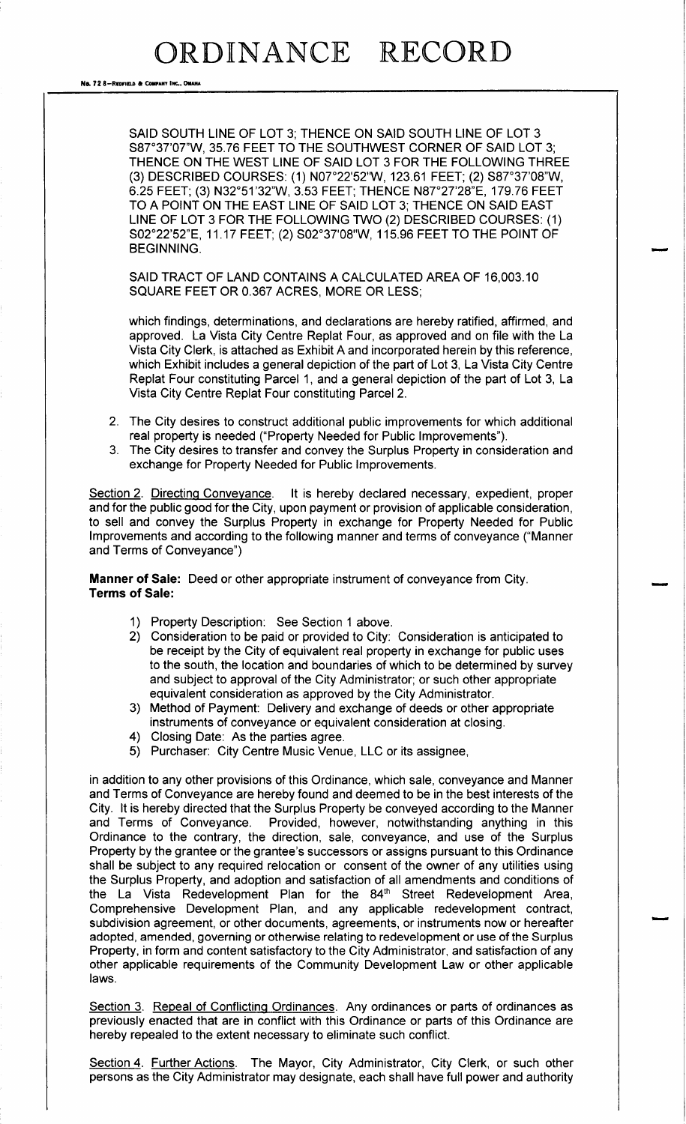# ORDINANCE RECORD

No. 72 8-REDFIELD & COMPANY INC., OMAHA

SAID SOUTH LINE OF LOT 3; THENCE ON SAID SOUTH LINE OF LOT 3 S87°37'07"W, 35.76 FEET TO THE SOUTHWEST CORNER OF SAID LOT 3; THENCE ON THE WEST LINE OF SAID LOT 3 FOR THE FOLLOWING THREE 3) DESCRIBED COURSES: ( 1) N07° 22' 52" W, 123. 61 FEET; ( 2) S87° 37' 08"W, 6. 25 FEET; ( 3) N32° 51' 32"W, 3. 53 FEET; THENCE N87° 27' 28"E, 179. 76 FEET TO A POINT ON THE EAST LINE OF SAID LOT 3; THENCE ON SAID EAST LINE OF LOT 3 FOR THE FOLLOWING TWO (2) DESCRIBED COURSES: (1) S02° 22' 52" E, 11. 17 FEET; ( 2) S02° 37' 08" W, 115. 96 FEET TO THE POINT OF BEGINNING.

SAID TRACT OF LAND CONTAINS A CALCULATED AREA OF 16, 003. 10 SQUARE FEET OR 0. 367 ACRES, MORE OR LESS;

which findings, determinations, and declarations are hereby ratified, affirmed, and approved. La Vista City Centre Replat Four, as approved and on file with the La Vista City Clerk, is attached as Exhibit A and incorporated herein by this reference, which Exhibit includes a general depiction of the part of Lot 3, La Vista City Centre Replat Four constituting Parcel 1, and a general depiction of the part of Lot 3, La Vista City Centre Replat Four constituting Parcel 2.

- 2. The City desires to construct additional public improvements for which additional real property is needed ("Property Needed for Public Improvements").
- The City desires to transfer and convey the Surplus Property in consideration and exchange for Property Needed for Public Improvements.

Section 2. Directing Conveyance. It is hereby declared necessary, expedient, proper and for the public good for the City, upon payment or provision of applicable consideration, to sell and convey the Surplus Property in exchange for Property Needed for Public Improvements and according to the following manner and terms of conveyance (" Manner and Terms of Conveyance")

Manner of Sale: Deed or other appropriate instrument of conveyance from City. Terms of Sale:

- 1) Property Description: See Section <sup>1</sup> above.
- 2) Consideration to be paid or provided to City: Consideration is anticipated to be receipt by the City of equivalent real property in exchange for public uses to the south, the location and boundaries of which to be determined by survey and subject to approval of the City Administrator; or such other appropriate equivalent consideration as approved by the City Administrator.
- 3) Method of Payment: Delivery and exchange of deeds or other appropriate instruments of conveyance or equivalent consideration at closing.
- 4) Closing Date: As the parties agree.
- 5) Purchaser: City Centre Music Venue, LLC or its assignee,

in addition to any other provisions of this Ordinance, which sale, conveyance and Manner and Terms of Conveyance are hereby found and deemed to be in the best interests of the City. It is hereby directed that the Surplus Property be conveyed according to the Manner and Terms of Conveyance. Provided, however, notwithstanding anything in this Ordinance to the contrary, the direction, sale, conveyance, and use of the Surplus Property by the grantee or the grantee's successors or assigns pursuant to this Ordinance shall be subject to any required relocation or consent of the owner of any utilities using the Surplus Property, and adoption and satisfaction of all amendments and conditions of the La Vista Redevelopment Plan for the 84<sup>th</sup> Street Redevelopment Area, Comprehensive Development Plan, and any applicable redevelopment contract, subdivision agreement, or other documents, agreements, or instruments now or hereafter adopted, amended, governing or otherwise relating to redevelopment or use of the Surplus Property, in form and content satisfactory to the City Administrator, and satisfaction of any other applicable requirements of the Community Development Law or other applicable laws.

Section 3. Repeal of Conflicting Ordinances. Any ordinances or parts of ordinances as previously enacted that are in conflict with this Ordinance or parts of this Ordinance are hereby repealed to the extent necessary to eliminate such conflict.

Section 4. Further Actions. The Mayor, City Administrator, City Clerk, or such other persons as the City Administrator may designate, each shall have full power and authority